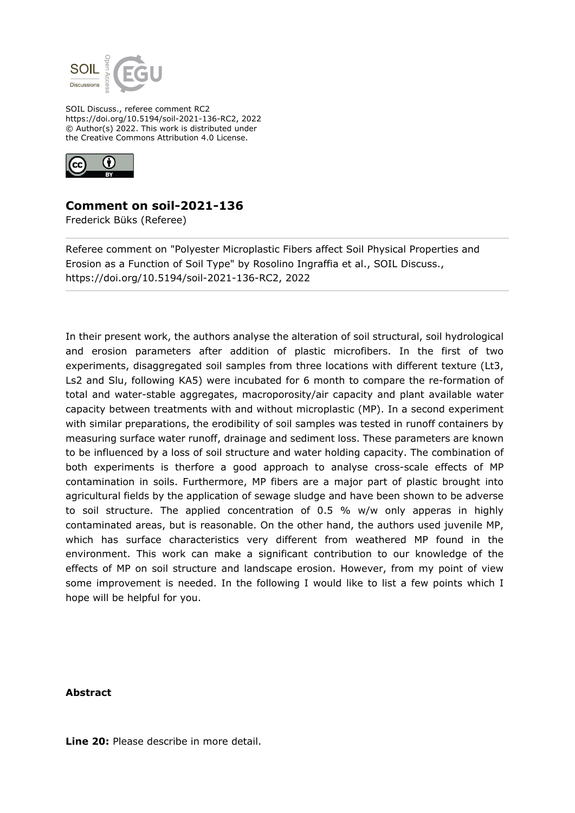

SOIL Discuss., referee comment RC2 https://doi.org/10.5194/soil-2021-136-RC2, 2022 © Author(s) 2022. This work is distributed under the Creative Commons Attribution 4.0 License.



# **Comment on soil-2021-136**

Frederick Büks (Referee)

Referee comment on "Polyester Microplastic Fibers affect Soil Physical Properties and Erosion as a Function of Soil Type" by Rosolino Ingraffia et al., SOIL Discuss., https://doi.org/10.5194/soil-2021-136-RC2, 2022

In their present work, the authors analyse the alteration of soil structural, soil hydrological and erosion parameters after addition of plastic microfibers. In the first of two experiments, disaggregated soil samples from three locations with different texture (Lt3, Ls2 and Slu, following KA5) were incubated for 6 month to compare the re-formation of total and water-stable aggregates, macroporosity/air capacity and plant available water capacity between treatments with and without microplastic (MP). In a second experiment with similar preparations, the erodibility of soil samples was tested in runoff containers by measuring surface water runoff, drainage and sediment loss. These parameters are known to be influenced by a loss of soil structure and water holding capacity. The combination of both experiments is therfore a good approach to analyse cross-scale effects of MP contamination in soils. Furthermore, MP fibers are a major part of plastic brought into agricultural fields by the application of sewage sludge and have been shown to be adverse to soil structure. The applied concentration of 0.5 % w/w only apperas in highly contaminated areas, but is reasonable. On the other hand, the authors used juvenile MP, which has surface characteristics very different from weathered MP found in the environment. This work can make a significant contribution to our knowledge of the effects of MP on soil structure and landscape erosion. However, from my point of view some improvement is needed. In the following I would like to list a few points which I hope will be helpful for you.

## **Abstract**

**Line 20:** Please describe in more detail.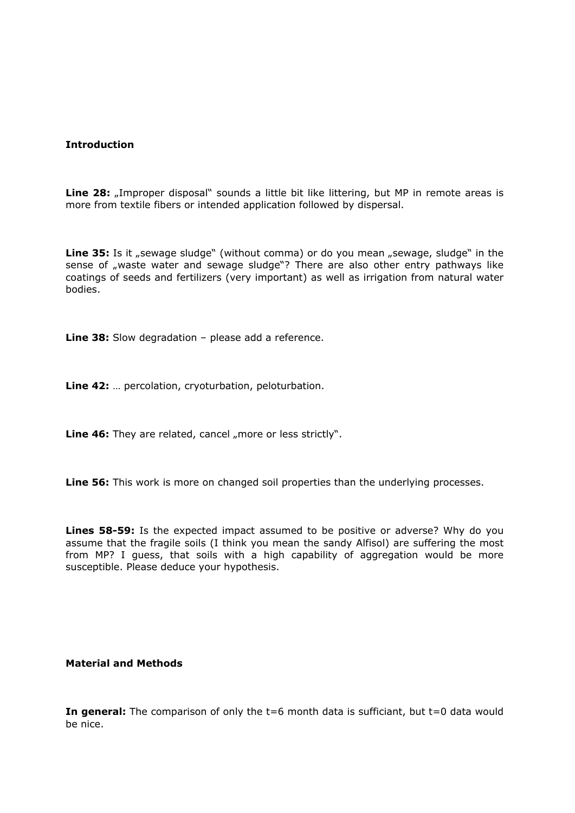## **Introduction**

**Line 28:** "Improper disposal" sounds a little bit like littering, but MP in remote areas is more from textile fibers or intended application followed by dispersal.

**Line 35:** Is it "sewage sludge" (without comma) or do you mean "sewage, sludge" in the sense of "waste water and sewage sludge"? There are also other entry pathways like coatings of seeds and fertilizers (very important) as well as irrigation from natural water bodies.

**Line 38:** Slow degradation – please add a reference.

**Line 42:** … percolation, cryoturbation, peloturbation.

**Line 46:** They are related, cancel "more or less strictly".

**Line 56:** This work is more on changed soil properties than the underlying processes.

**Lines 58-59:** Is the expected impact assumed to be positive or adverse? Why do you assume that the fragile soils (I think you mean the sandy Alfisol) are suffering the most from MP? I guess, that soils with a high capability of aggregation would be more susceptible. Please deduce your hypothesis.

### **Material and Methods**

**In general:** The comparison of only the t=6 month data is sufficiant, but t=0 data would be nice.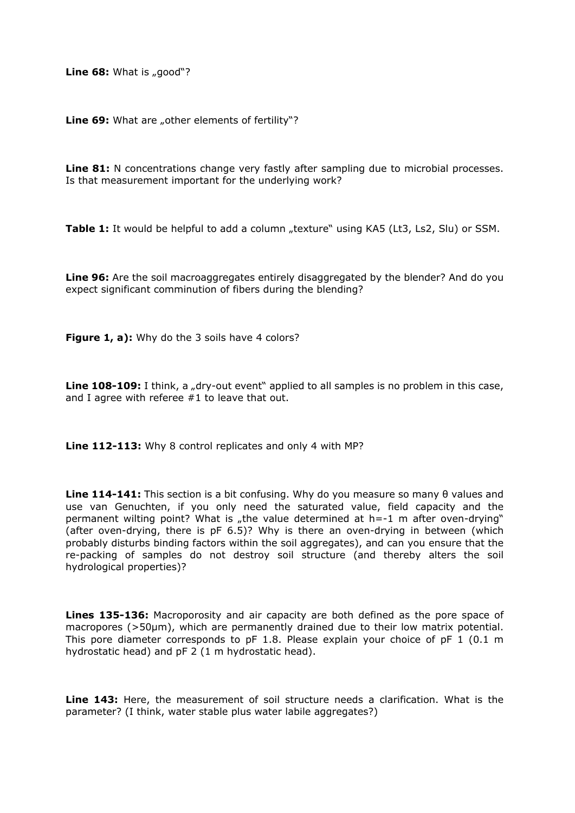**Line 68:** What is "good"?

Line 69: What are "other elements of fertility"?

**Line 81:** N concentrations change very fastly after sampling due to microbial processes. Is that measurement important for the underlying work?

**Table 1:** It would be helpful to add a column "texture" using KA5 (Lt3, Ls2, Slu) or SSM.

**Line 96:** Are the soil macroaggregates entirely disaggregated by the blender? And do you expect significant comminution of fibers during the blending?

Figure 1, a): Why do the 3 soils have 4 colors?

**Line 108-109:** I think, a "dry-out event" applied to all samples is no problem in this case, and I agree with referee #1 to leave that out.

**Line 112-113:** Why 8 control replicates and only 4 with MP?

**Line 114-141:** This section is a bit confusing. Why do you measure so many θ values and use van Genuchten, if you only need the saturated value, field capacity and the permanent wilting point? What is "the value determined at  $h = -1$  m after oven-drying" (after oven-drying, there is pF 6.5)? Why is there an oven-drying in between (which probably disturbs binding factors within the soil aggregates), and can you ensure that the re-packing of samples do not destroy soil structure (and thereby alters the soil hydrological properties)?

**Lines 135-136:** Macroporosity and air capacity are both defined as the pore space of macropores ( $>50\mu$ m), which are permanently drained due to their low matrix potential. This pore diameter corresponds to pF 1.8. Please explain your choice of pF 1 (0.1 m hydrostatic head) and pF 2 (1 m hydrostatic head).

**Line 143:** Here, the measurement of soil structure needs a clarification. What is the parameter? (I think, water stable plus water labile aggregates?)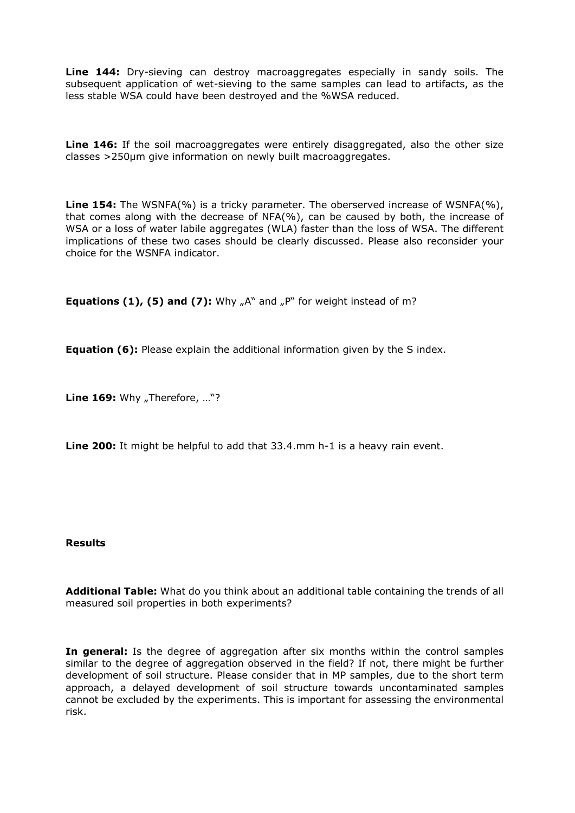**Line 144:** Dry-sieving can destroy macroaggregates especially in sandy soils. The subsequent application of wet-sieving to the same samples can lead to artifacts, as the less stable WSA could have been destroyed and the %WSA reduced.

**Line 146:** If the soil macroaggregates were entirely disaggregated, also the other size classes >250µm give information on newly built macroaggregates.

**Line 154:** The WSNFA(%) is a tricky parameter. The oberserved increase of WSNFA(%), that comes along with the decrease of NFA(%), can be caused by both, the increase of WSA or a loss of water labile aggregates (WLA) faster than the loss of WSA. The different implications of these two cases should be clearly discussed. Please also reconsider your choice for the WSNFA indicator.

**Equations (1), (5) and (7):** Why "A" and "P" for weight instead of m?

**Equation (6):** Please explain the additional information given by the S index.

**Line 169:** Why "Therefore, ..."?

**Line 200:** It might be helpful to add that 33.4.mm h-1 is a heavy rain event.

### **Results**

**Additional Table:** What do you think about an additional table containing the trends of all measured soil properties in both experiments?

**In general:** Is the degree of aggregation after six months within the control samples similar to the degree of aggregation observed in the field? If not, there might be further development of soil structure. Please consider that in MP samples, due to the short term approach, a delayed development of soil structure towards uncontaminated samples cannot be excluded by the experiments. This is important for assessing the environmental risk.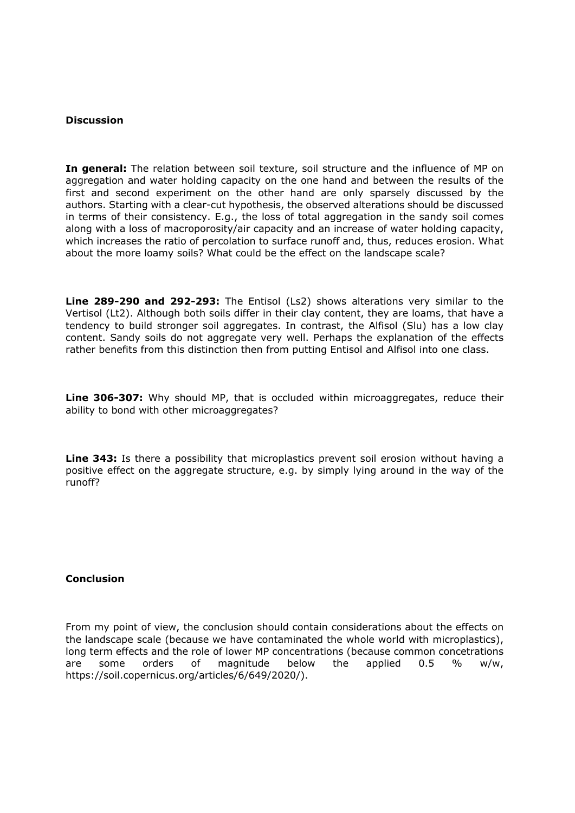## **Discussion**

**In general:** The relation between soil texture, soil structure and the influence of MP on aggregation and water holding capacity on the one hand and between the results of the first and second experiment on the other hand are only sparsely discussed by the authors. Starting with a clear-cut hypothesis, the observed alterations should be discussed in terms of their consistency. E.g., the loss of total aggregation in the sandy soil comes along with a loss of macroporosity/air capacity and an increase of water holding capacity, which increases the ratio of percolation to surface runoff and, thus, reduces erosion. What about the more loamy soils? What could be the effect on the landscape scale?

**Line 289-290 and 292-293:** The Entisol (Ls2) shows alterations very similar to the Vertisol (Lt2). Although both soils differ in their clay content, they are loams, that have a tendency to build stronger soil aggregates. In contrast, the Alfisol (Slu) has a low clay content. Sandy soils do not aggregate very well. Perhaps the explanation of the effects rather benefits from this distinction then from putting Entisol and Alfisol into one class.

**Line 306-307:** Why should MP, that is occluded within microaggregates, reduce their ability to bond with other microaggregates?

**Line 343:** Is there a possibility that microplastics prevent soil erosion without having a positive effect on the aggregate structure, e.g. by simply lying around in the way of the runoff?

## **Conclusion**

From my point of view, the conclusion should contain considerations about the effects on the landscape scale (because we have contaminated the whole world with microplastics), long term effects and the role of lower MP concentrations (because common concetrations are some orders of magnitude below the applied 0.5 % w/w, https://soil.copernicus.org/articles/6/649/2020/).